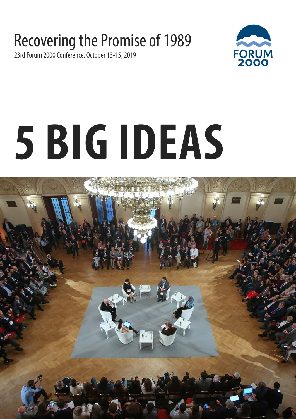#### Recovering the Promise of 1989

23rd Forum 2000 Conference, October 13-15, 2019



# **5 BIG IDEAS**

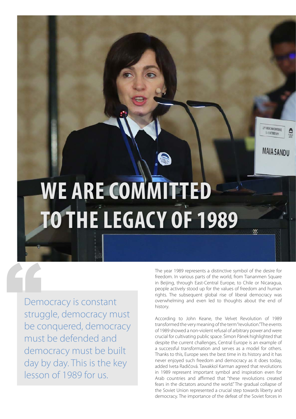## **WE ARE COMMITTED TO THE LEGACY OF 1989**

Democracy is constant struggle, democracy must be conquered, democracy must be defended and democracy must be built day by day. This is the key lesson of 1989 for us. Dem<br>
strug<br>
be c

The year 1989 represents a distinctive symbol of the desire for freedom. In various parts of the world, from Tiananmen Square in Beijing, through East-Central Europe, to Chile or Nicaragua, people actively stood up for the values of freedom and human rights. The subsequent global rise of liberal democracy was overwhelming and even led to thoughts about the end of history.

13<sup>0</sup> FORUM 2000 CONFERENCE **B-15000082019** 

**MAIA SANDU** 

According to John Keane, the Velvet Revolution of 1989 transformed the very meaning of the term "revolution." The events of 1989 showed a non-violent refusal of arbitrary power and were crucial for cultivating public space. Šimon Pánek highlighted that despite the current challenges, Central Europe is an example of a successful transformation and serves as a model for others. Thanks to this, Europe sees the best time in its history and it has never enjoyed such freedom and democracy as it does today, added Iveta Radičová. Tawakkol Karman agreed that revolutions in 1989 represent important symbol and inspiration even for Arab countries and affirmed that "these revolutions created fears in the dictators around the world." The gradual collapse of the Soviet Union represented a crucial step towards liberty and democracy. The importance of the defeat of the Soviet forces in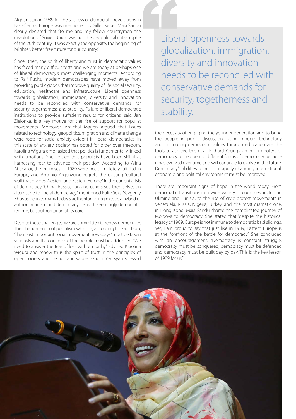Afghanistan in 1989 for the success of democratic revolutions in East-Central Europe was mentioned by Gilles Kepel. Maia Sandu clearly declared that "to me and my fellow countrymen the dissolution of Soviet Union was not the geopolitical catastrophe of the 20th century. It was exactly the opposite, the beginning of brighter, better, free future for our country."

Since then, the spirit of liberty and trust in democratic values has faced many difficult tests and we are today at perhaps one of liberal democracy's most challenging moments. According to Ralf Fücks, modern democracies have moved away from providing public goods that improve quality of life: social security, education, healthcare and infrastructure. Liberal openness towards globalization, immigration, diversity and innovation needs to be reconciled with conservative demands for security, togetherness and stability. Failure of liberal democratic institutions to provide sufficient results for citizens, said Jan Zielonka, is a key motive for the rise of support for populist movements. Moreover, Amichai Magen argued that issues related to technology, geopolitics, migration and climate change were roots for social anxiety evident in liberal democracies. In this state of anxiety, society has opted for order over freedom. Karolina Wigura emphasized that politics is fundamentally linked with emotions. She argued that populists have been skilful at harnessing fear to advance their position. According to Alina Aflecailor, the promises of 1989 were not completely fulfilled in Europe, and Antonio Argenziano regrets the existing "cultural wall that divides Western and Eastern Europe." In the current crisis of democracy "China, Russia, Iran and others see themselves an alternative to liberal democracy," mentioned Ralf Fücks. Yevgeniy Zhovtis defines many today's authoritarian regimes as a hybrid of authoritarianism and democracy, i.e. with seemingly democratic regime, but authoritarian at its core.

Despite these challenges, we are committed to renew democracy. The phenomenon of populism which is, according to Gadi Taub, "the most important social movement nowadays" must be taken seriously and the concerns of the people must be addressed. "We need to answer the fear of loss with empathy" advised Karolina Wigura and renew thus the spirit of trust in the principles of open society and democratic values. Grigor Yeritsyan stressed

Liberal openness towards globalization, immigration, diversity and innovation needs to be reconciled with conservative demands for security, togetherness and stability. Libe<br>
uibe<br>
glob<br>
dive

> the necessity of engaging the younger generation and to bring the people in public discussion. Using modern technology and promoting democratic values through education are the tools to achieve this goal. Richard Youngs urged promoters of democracy to be open to different forms of democracy because it has evolved over time and will continue to evolve in the future. Democracy's abilities to act in a rapidly changing international, economic, and political environment must be improved.

> There are important signs of hope in the world today. From democratic transitions in a wide variety of countries, including Ukraine and Tunisia, to the rise of civic protest movements in Venezuela, Russia, Nigeria, Turkey, and, the most dramatic one, in Hong Kong. Maia Sandu shared the complicated journey of Moldova to democracy. She stated that "despite the historical legacy of 1989, Europe is not immune to democratic backslidings. Yet, I am proud to say that just like in 1989, Eastern Europe is at the forefront of the battle for democracy." She concluded with an encouragement: "Democracy is constant struggle, democracy must be conquered, democracy must be defended and democracy must be built day by day. This is the key lesson of 1989 for us."

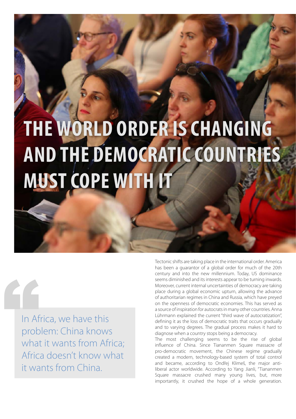### **THE WORLD ORDER IS CHANGING AND THE DEMOCRATIC COUNTRIES MUST COPE WITH IT**

In Africa, we have this problem: China knows what it wants from Africa; Africa doesn't know what it wants from China. In Af

Tectonic shifts are taking place in the international order. America has been a guarantor of a global order for much of the 20th century and into the new millennium. Today, US dominance seems diminished and its interests appear to be turning inwards. Moreover, current internal uncertainties of democracy are taking place during a global economic upturn, allowing the advance of authoritarian regimes in China and Russia, which have preyed on the openness of democratic economies. This has served as a source of inspiration for autocrats in many other countries. Anna Lührmann explained the current "third wave of autocratization", defining it as the loss of democratic traits that occurs gradually and to varying degrees. The gradual process makes it hard to diagnose when a country stops being a democracy.

The most challenging seems to be the rise of global influence of China. Since Tiananmen Square massacre of pro-democratic movement, the Chinese regime gradually created a modern, technology-based system of total control and became, according to Ondřej Klimeš, the major antiliberal actor worldwide. According to Yang Jianli, "Tiananmen Square massacre crushed many young lives, but, more importantly, it crushed the hope of a whole generation.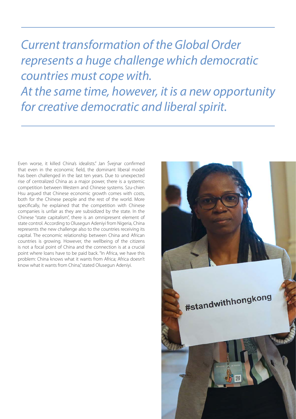*Current transformation of the Global Order represents a huge challenge which democratic countries must cope with. At the same time, however, it is a new opportunity for creative democratic and liberal spirit.*

Even worse, it killed China's idealists." Jan Švejnar confirmed that even in the economic field, the dominant liberal model has been challenged in the last ten years. Due to unexpected rise of centralized China as a major power, there is a systemic competition between Western and Chinese systems. Szu-chien Hsu argued that Chinese economic growth comes with costs, both for the Chinese people and the rest of the world. More specifically, he explained that the competition with Chinese companies is unfair as they are subsidized by the state. In the Chinese "state capitalism", there is an omnipresent element of state control. According to Olusegun Adeniyi from Nigeria, China represents the new challenge also to the countries receiving its capital. The economic relationship between China and African countries is growing. However, the wellbeing of the citizens is not a focal point of China and the connection is at a crucial point where loans have to be paid back. "In Africa, we have this problem: China knows what it wants from Africa; Africa doesn't know what it wants from China," stated Olusegun Adeniyi.

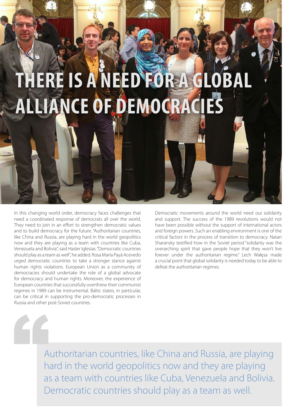#### **THERE IS A NEED FOR A GLOBAL ALLIANCE OF DEMOCRACIES**

In this changing world order, democracy faces challenges that need a coordinated response of democrats all over the world. They need to join in an effort to strengthen democratic values and to build democracy for the future. "Authoritarian countries, like China and Russia, are playing hard in the world geopolitics now and they are playing as a team with countries like Cuba, Venezuela and Bolivia", said Hasler Iglesias. "Democratic countries should play as a team as well", he added. Rosa María Payá Acevedo urged democratic countries to take a stronger stance against human rights violations. European Union as a community of democracies should undertake the role of a global advocate for democracy and human rights. Moreover, the experience of European countries that successfully overthrew their communist regimes in 1989 can be instrumental. Baltic states, in particular, can be critical in supporting the pro-democratic processes in Russia and other post-Soviet countries.

Democratic movements around the world need our solidarity and support. The success of the 1989 revolutions would not have been possible without the support of international actors and foreign powers. Such an enabling environment is one of the critical factors in the process of transition to democracy. Natan Sharansky testified how in the Soviet period "solidarity was the overarching spirit that gave people hope that they won't live forever under the authoritarian regime." Lech Wałęsa made a crucial point that global solidarity is needed today to be able to defeat the authoritarian regimes.

Authoritarian countries, like China and Russia, are playing hard in the world geopolitics now and they are playing as a team with countries like Cuba, Venezuela and Bolivia. Democratic countries should play as a team as well. "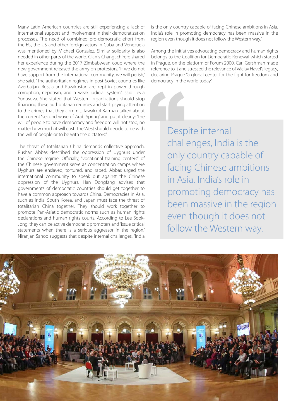Many Latin American countries are still experiencing a lack of international support and involvement in their democratization processes. The need of combined pro-democratic effort from the EU, the US and other foreign actors in Cuba and Venezuela was mentioned by Michael Gonzalez. Similar solidarity is also needed in other parts of the world. Glanis Changachirere shared her experience during the 2017 Zimbabwean coup where the new government released the army on protestors. "If we do not have support from the international community, we will perish," she said. "The authoritarian regimes in post-Soviet countries like Azerbaijan, Russia and Kazakhstan are kept in power through corruption, nepotism, and a weak judicial system", said Leyla Yunusova. She stated that Western organizations should stop financing these authoritarian regimes and start paying attention to the crimes that they commit. Tawakkol Karman talked about the current "second wave of Arab Spring" and put it clearly: "the will of people to have democracy and freedom will not stop, no matter how much it will cost. The West should decide to be with the will of people or to be with the dictators."

The threat of totalitarian China demands collective approach. Rushan Abbas described the oppression of Uyghurs under the Chinese regime. Officially, "vocational training centers" of the Chinese government serve as concentration camps where Uyghurs are enslaved, tortured, and raped. Abbas urged the international community to speak out against the Chinese oppression of the Uyghurs. Han Dongfang advises that governments of democratic countries should get together to have a common approach towards China. Democracies in Asia, such as India, South Korea, and Japan must face the threat of totalitarian China together. They should work together to promote Pan-Asiatic democratic norms such as human rights declarations and human rights courts. According to Lee Sook-Jong, they can be active democratic promoters and "issue critical statements when there is a serious aggressor in the region." Niranjan Sahoo suggests that despite internal challenges, "India is the only country capable of facing Chinese ambitions in Asia. India's role in promoting democracy has been massive in the region even though it does not follow the Western way."

Among the initiatives advocating democracy and human rights belongs to the Coalition for Democratic Renewal which started in Prague, on the platform of Forum 2000. Carl Gershman made reference to it and stressed the relevance of Václav Havel's legacy, declaring Prague "a global center for the fight for freedom and democracy in the world today."

Despite internal challenges, India is the only country capable of facing Chinese ambitions in Asia. India's role in promoting democracy has been massive in the region even though it does not follow the Western way. Desp<br>Chall<br>Only

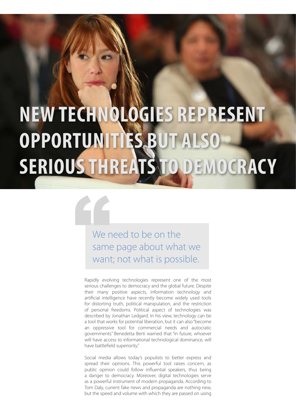#### **NEW TECHNOLOGIES REPRESENT OPPORTUNITIES BUT AL SERIOUS THREATS TO DEMOCRACY**

We need to be on the same page about what we We r want; not what is possible.

Rapidly evolving technologies represent one of the most serious challenges to democracy and the global future. Despite their many positive aspects, information technology and artificial intelligence have recently become widely used tools for distorting truth, political manipulation, and the restriction of personal freedoms. Political aspect of technologies was described by Jonathan Ledgard. In his view, technology can be a tool that works for potential liberation, but it can also "become an oppressive tool for commercial needs and autocratic governments." Benedetta Berti warned that "in future, whoever will have access to informational technological dominance, will have battlefield superiority."

Social media allows today's populists to better express and spread their opinions. This powerful tool raises concern, as public opinion could follow influential speakers, thus being a danger to democracy. Moreover, digital technologies serve as a powerful instrument of modern propaganda. According to Tom Daly, current fake news and propaganda are nothing new, but the speed and volume with which they are passed on using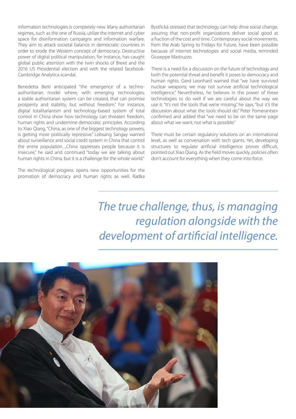information technologies is completely new. Many authoritarian regimes, such as the one of Russia, utilize the internet and cyber space for disinformation campaigns and information warfare. They aim to attack societal balance in democratic countries in order to erode the Western concept of democracy. Destructive power of digital political manipulation, for instance, has caught global public attention with the twin shocks of Brexit and the 2016 US Presidential election and with the related facebook-Cambridge Analytica scandal.

Benedetta Berti anticipated "the emergence of a technoauthoritarian model where, with emerging technologies, a stable authoritarian system can be created, that can promise prosperity and stability, but without freedom." For instance, digital totalitarianism and technology-based system of total control in China show how technology can threaten freedom, human rights and undermine democratic principles. According to Xiao Qiang, "China, as one of the biggest technology powers, is getting more politically repressive." Lobsang Sangay warned about surveillance and social credit system in China that control the entire population. "China oppresses people because it is insecure," he said and continued "today we are talking about human rights in China, but it is a challenge for the whole world."

The technological progress opens new opportunities for the promotion of democracy and human rights as well. Radka Bystřická stressed that technology can help drive social change, assuring that non-profit organizations deliver social good at a fraction of the cost and time. Contemporary social movements, from the Arab Spring to Fridays for Future, have been possible because of internet technologies and social media, reminded Giuseppe Mastruzzo.

There is a need for a discussion on the future of technology and both the potential threat and benefit it poses to democracy and human rights. Gerd Leonhard warned that "we have survived nuclear weapons; we may not survive artificial technological intelligence." Nevertheless, he believes in the power of these technologies to do well if we are careful about the way we use it. "It's not the tools that we're missing," he says, "but it's the discussion about what the tools should do." Peter Pomerantsev confirmed and added that "we need to be on the same page about what we want; not what is possible."

There must be certain regulatory solutions on an international level, as well as conversation with tech giants. Yet, developing structures to regulate artificial intelligence proves difficult, pointed out Xiao Qiang. As the field moves quickly, policies often don't account for everything when they come into force.

*The true challenge, thus, is managing regulation alongside with the development of artificial intelligence.*

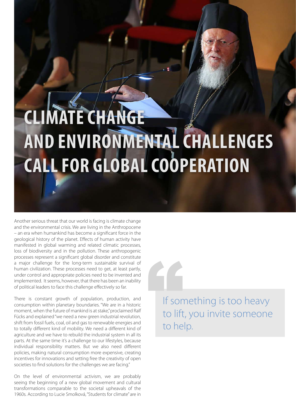#### **CLIMATE CHANGE AND ENVIRONMENTAL CHALLENGES CALL FOR GLOBAL COOPERATION**

Another serious threat that our world is facing is climate change and the environmental crisis. We are living in the Anthropocene – an era when humankind has become a significant force in the geological history of the planet. Effects of human activity have manifested in global warming and related climatic processes, loss of biodiversity and in the pollution. These anthropogenic processes represent a significant global disorder and constitute a major challenge for the long-term sustainable survival of human civilization. These processes need to get, at least partly, under control and appropriate policies need to be invented and implemented. It seems, however, that there has been an inability of political leaders to face this challenge effectively so far.

There is constant growth of population, production, and consumption within planetary boundaries. "We are in a historic moment, when the future of mankind is at stake," proclaimed Ralf Fücks and explained "we need a new green industrial revolution, shift from fossil fuels, coal, oil and gas to renewable energies and to totally different kind of mobility. We need a different kind of agriculture and we have to rebuild the industrial system in all its parts. At the same time it's a challenge to our lifestyles, because individual responsibility matters. But we also need different policies, making natural consumption more expensive, creating incentives for innovations and setting free the creativity of open societies to find solutions for the challenges we are facing."

On the level of environmental activism, we are probably seeing the beginning of a new global movement and cultural transformations comparable to the societal upheavals of the 1960s. According to Lucie Smolková, "Students for climate" are in

If something is too heavy to lift, you invite someone " to help.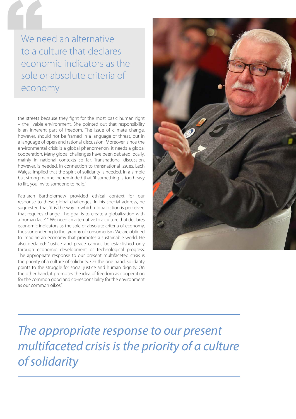We need an alternative to a culture that declares economic indicators as the sole or absolute criteria of economy We ne

the streets because they fight for the most basic human right – the livable environment. She pointed out that responsibility is an inherent part of freedom. The issue of climate change, however, should not be framed in a language of threat, but in a language of open and rational discussion. Moreover, since the environmental crisis is a global phenomenon, it needs a global cooperation. Many global challenges have been debated locally, mainly in national contexts so far. Transnational discussion, however, is needed. In connection to transnational issues, Lech Wałęsa implied that the spirit of solidarity is needed. In a simple but strong manner,he reminded that "if something is too heavy to lift, you invite someone to help."

Patriarch Bartholomew provided ethical context for our response to these global challenges. In his special address, he suggested that "it is the way in which globalization is perceived that requires change. The goal is to create a globalization with a 'human face'. " We need an alternative to a culture that declares economic indicators as the sole or absolute criteria of economy, thus surrendering to the tyranny of consumerism. We are obliged to imagine an economy that promotes a sustainable world. He also declared: "Justice and peace cannot be established only through economic development or technological progress. The appropriate response to our present multifaceted crisis is the priority of a culture of solidarity. On the one hand, solidarity points to the struggle for social justice and human dignity. On the other hand, it promotes the idea of freedom as cooperation for the common good and co-responsibility for the environment as our common oikos."



*The appropriate response to our present multifaceted crisis is the priority of a culture of solidarity*